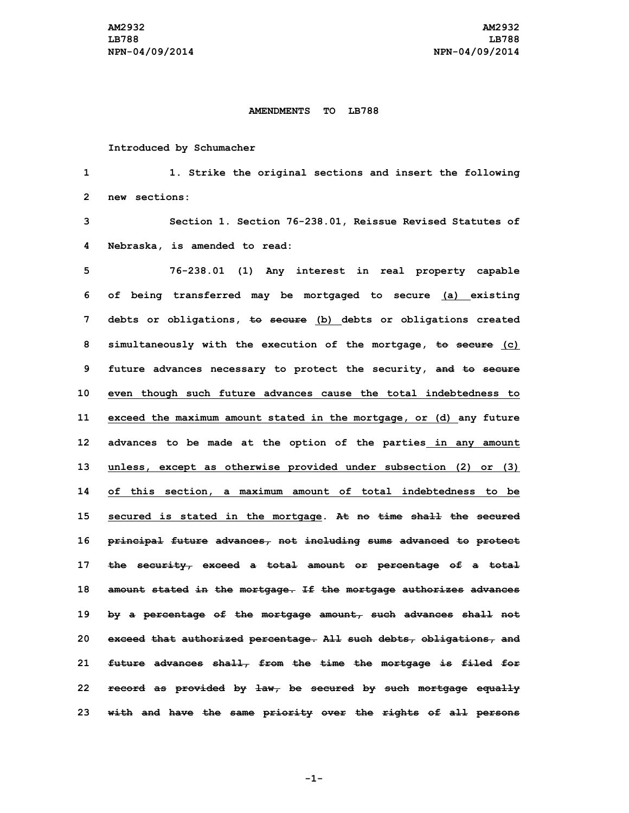## **AMENDMENTS TO LB788**

## **Introduced by Schumacher**

**1 1. Strike the original sections and insert the following 2 new sections:**

**3 Section 1. Section 76-238.01, Reissue Revised Statutes of 4 Nebraska, is amended to read:**

 **76-238.01 (1) Any interest in real property capable of being transferred may be mortgaged to secure (a) existing debts or obligations, to secure (b) debts or obligations created simultaneously with the execution of the mortgage, to secure (c) future advances necessary to protect the security, and to secure even though such future advances cause the total indebtedness to exceed the maximum amount stated in the mortgage, or (d) any future advances to be made at the option of the parties in any amount unless, except as otherwise provided under subsection (2) or (3) of this section, <sup>a</sup> maximum amount of total indebtedness to be secured is stated in the mortgage. At no time shall the secured principal future advances, not including sums advanced to protect the security, exceed <sup>a</sup> total amount or percentage of <sup>a</sup> total amount stated in the mortgage. If the mortgage authorizes advances by <sup>a</sup> percentage of the mortgage amount, such advances shall not exceed that authorized percentage. All such debts, obligations, and future advances shall, from the time the mortgage is filed for record as provided by law, be secured by such mortgage equally with and have the same priority over the rights of all persons**

**-1-**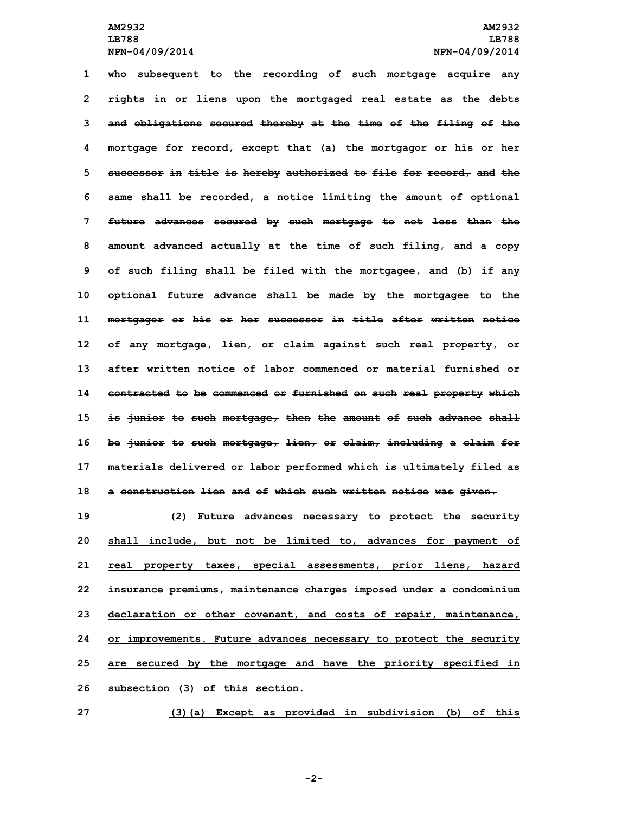**who subsequent to the recording of such mortgage acquire any rights in or liens upon the mortgaged real estate as the debts and obligations secured thereby at the time of the filing of the mortgage for record, except that (a) the mortgagor or his or her successor in title is hereby authorized to file for record, and the same shall be recorded, <sup>a</sup> notice limiting the amount of optional future advances secured by such mortgage to not less than the amount advanced actually at the time of such filing, and <sup>a</sup> copy of such filing shall be filed with the mortgagee, and (b) if any optional future advance shall be made by the mortgagee to the mortgagor or his or her successor in title after written notice of any mortgage, lien, or claim against such real property, or after written notice of labor commenced or material furnished or contracted to be commenced or furnished on such real property which is junior to such mortgage, then the amount of such advance shall be junior to such mortgage, lien, or claim, including <sup>a</sup> claim for materials delivered or labor performed which is ultimately filed as <sup>a</sup> construction lien and of which such written notice was given.**

 **(2) Future advances necessary to protect the security shall include, but not be limited to, advances for payment of real property taxes, special assessments, prior liens, hazard insurance premiums, maintenance charges imposed under <sup>a</sup> condominium declaration or other covenant, and costs of repair, maintenance, or improvements. Future advances necessary to protect the security are secured by the mortgage and have the priority specified in subsection (3) of this section.**

**27 (3)(a) Except as provided in subdivision (b) of this**

**-2-**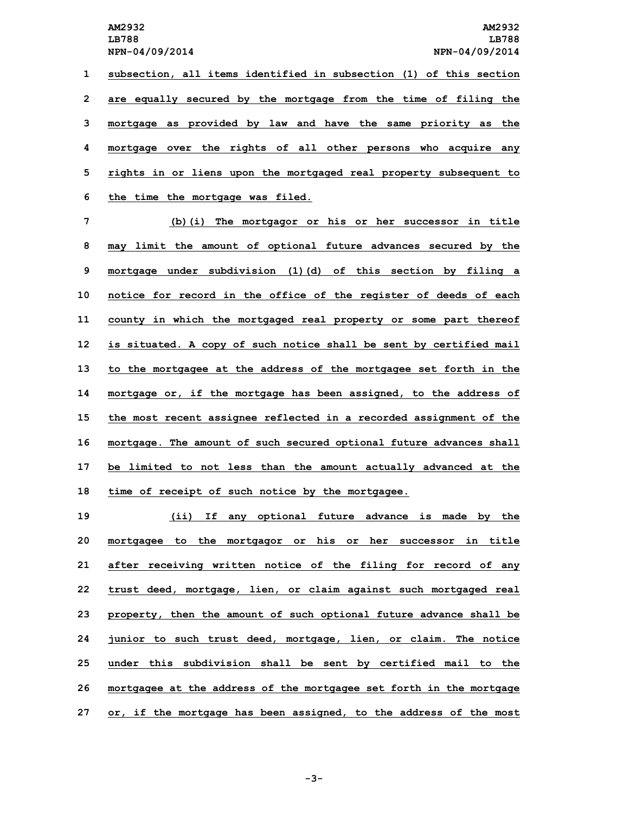**subsection, all items identified in subsection (1) of this section are equally secured by the mortgage from the time of filing the mortgage as provided by law and have the same priority as the mortgage over the rights of all other persons who acquire any rights in or liens upon the mortgaged real property subsequent to the time the mortgage was filed.**

 **(b)(i) The mortgagor or his or her successor in title may limit the amount of optional future advances secured by the mortgage under subdivision (1)(d) of this section by filing <sup>a</sup> notice for record in the office of the register of deeds of each county in which the mortgaged real property or some part thereof is situated. <sup>A</sup> copy of such notice shall be sent by certified mail to the mortgagee at the address of the mortgagee set forth in the mortgage or, if the mortgage has been assigned, to the address of the most recent assignee reflected in <sup>a</sup> recorded assignment of the mortgage. The amount of such secured optional future advances shall be limited to not less than the amount actually advanced at the time of receipt of such notice by the mortgagee.**

 **(ii) If any optional future advance is made by the mortgagee to the mortgagor or his or her successor in title after receiving written notice of the filing for record of any trust deed, mortgage, lien, or claim against such mortgaged real property, then the amount of such optional future advance shall be junior to such trust deed, mortgage, lien, or claim. The notice under this subdivision shall be sent by certified mail to the mortgagee at the address of the mortgagee set forth in the mortgage or, if the mortgage has been assigned, to the address of the most**

**-3-**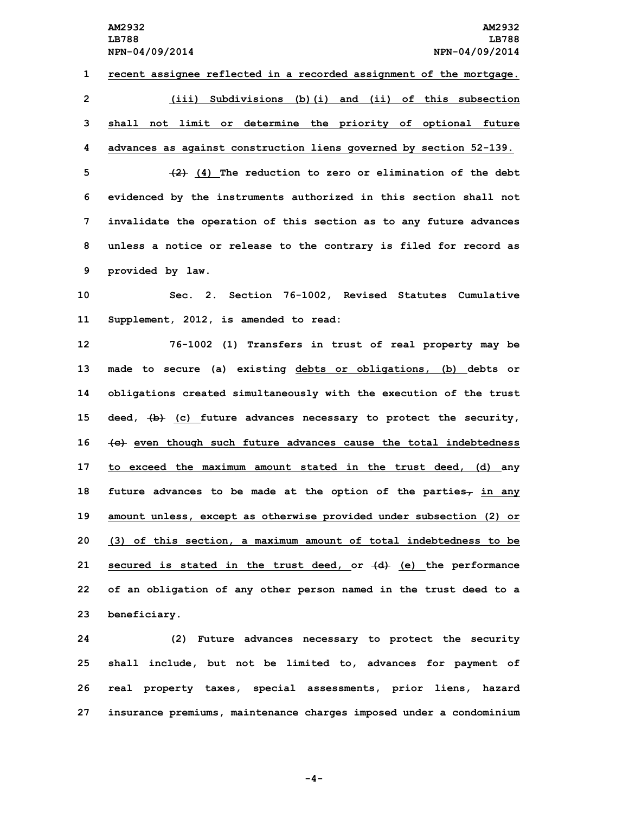**recent assignee reflected in <sup>a</sup> recorded assignment of the mortgage. (iii) Subdivisions (b)(i) and (ii) of this subsection shall not limit or determine the priority of optional future advances as against construction liens governed by section 52-139.**

 **(2) (4) The reduction to zero or elimination of the debt evidenced by the instruments authorized in this section shall not invalidate the operation of this section as to any future advances unless <sup>a</sup> notice or release to the contrary is filed for record as provided by law.**

**10 Sec. 2. Section 76-1002, Revised Statutes Cumulative 11 Supplement, 2012, is amended to read:**

 **76-1002 (1) Transfers in trust of real property may be made to secure (a) existing debts or obligations, (b) debts or obligations created simultaneously with the execution of the trust deed, (b) (c) future advances necessary to protect the security, (c) even though such future advances cause the total indebtedness to exceed the maximum amount stated in the trust deed, (d) any future advances to be made at the option of the parties, in any amount unless, except as otherwise provided under subsection (2) or (3) of this section, <sup>a</sup> maximum amount of total indebtedness to be secured is stated in the trust deed, or (d) (e) the performance of an obligation of any other person named in the trust deed to <sup>a</sup> beneficiary.**

 **(2) Future advances necessary to protect the security shall include, but not be limited to, advances for payment of real property taxes, special assessments, prior liens, hazard insurance premiums, maintenance charges imposed under <sup>a</sup> condominium**

**-4-**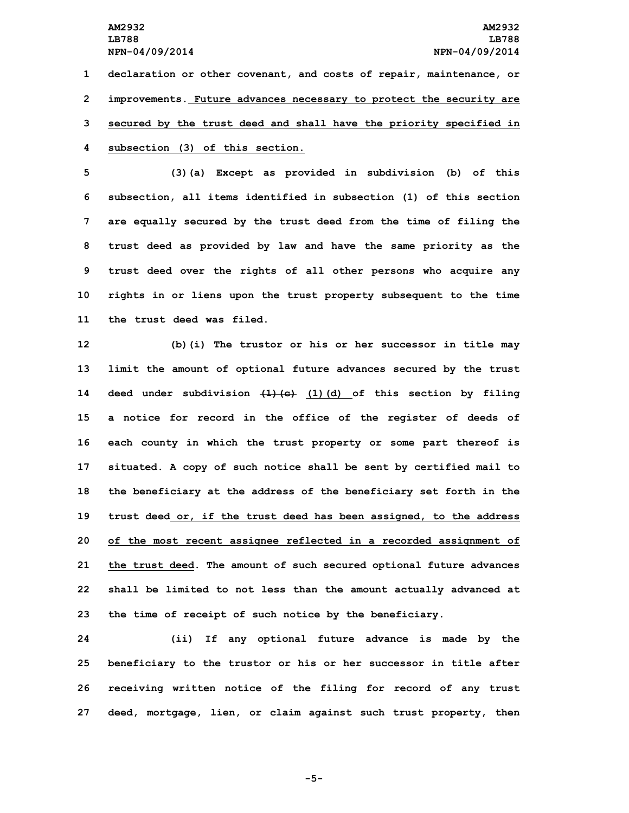**declaration or other covenant, and costs of repair, maintenance, or improvements. Future advances necessary to protect the security are secured by the trust deed and shall have the priority specified in subsection (3) of this section.**

 **(3)(a) Except as provided in subdivision (b) of this subsection, all items identified in subsection (1) of this section are equally secured by the trust deed from the time of filing the trust deed as provided by law and have the same priority as the trust deed over the rights of all other persons who acquire any rights in or liens upon the trust property subsequent to the time the trust deed was filed.**

 **(b)(i) The trustor or his or her successor in title may limit the amount of optional future advances secured by the trust deed under subdivision (1)(c) (1)(d) of this section by filing <sup>a</sup> notice for record in the office of the register of deeds of each county in which the trust property or some part thereof is situated. <sup>A</sup> copy of such notice shall be sent by certified mail to the beneficiary at the address of the beneficiary set forth in the trust deed or, if the trust deed has been assigned, to the address of the most recent assignee reflected in <sup>a</sup> recorded assignment of the trust deed. The amount of such secured optional future advances shall be limited to not less than the amount actually advanced at the time of receipt of such notice by the beneficiary.**

 **(ii) If any optional future advance is made by the beneficiary to the trustor or his or her successor in title after receiving written notice of the filing for record of any trust deed, mortgage, lien, or claim against such trust property, then**

**-5-**